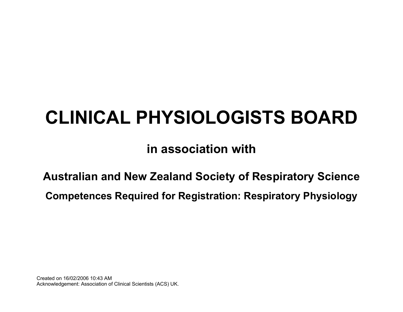# **CLINICAL PHYSIOLOGISTS BOARD**

# **in association with**

**Australian and New Zealand Society of Respiratory Science** 

**Competences Required for Registration: Respiratory Physiology**

Created on 16/02/2006 10:43 AM Acknowledgement: Association of Clinical Scientists (ACS) UK.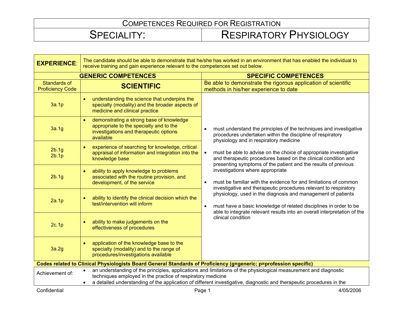| <b>EXPERIENCE:</b>                                                                                                                                                                                                                                                                                                         | The candidate should be able to demonstrate that he/she has worked in an environment that has enabled the individual to<br>receive training and gain experience relevant to the competences set out below. |                                                                                                                                                                                                                            |
|----------------------------------------------------------------------------------------------------------------------------------------------------------------------------------------------------------------------------------------------------------------------------------------------------------------------------|------------------------------------------------------------------------------------------------------------------------------------------------------------------------------------------------------------|----------------------------------------------------------------------------------------------------------------------------------------------------------------------------------------------------------------------------|
|                                                                                                                                                                                                                                                                                                                            | <b>GENERIC COMPETENCES</b>                                                                                                                                                                                 | <b>SPECIFIC COMPETENCES</b>                                                                                                                                                                                                |
| <b>Standards of</b><br><b>Proficiency Code</b>                                                                                                                                                                                                                                                                             | <b>SCIENTIFIC</b>                                                                                                                                                                                          | Be able to demonstrate the rigorous application of scientific<br>methods in his/her experience to date                                                                                                                     |
| 3a.1p                                                                                                                                                                                                                                                                                                                      | understanding the science that underpins the<br>specialty (modality) and the broader aspects of<br>medicine and clinical practice                                                                          |                                                                                                                                                                                                                            |
| 3a.1g                                                                                                                                                                                                                                                                                                                      | demonstrating a strong base of knowledge<br>appropriate to the specialty and to the<br>investigations and therapeutic options<br>available                                                                 | must understand the principles of the techniques and investigative<br>procedures undertaken within the discipline of respiratory<br>physiology and in respiratory medicine                                                 |
| 2b.1g<br>2b.1p                                                                                                                                                                                                                                                                                                             | experience of searching for knowledge, critical<br>appraisal of information and integration into the<br>knowledge base                                                                                     | must be able to advise on the choice of appropriate investigative<br>$\bullet$<br>and therapeutic procedures based on the clinical condition and<br>presenting symptoms of the patient and the results of previous         |
| 2b.1g                                                                                                                                                                                                                                                                                                                      | ability to apply knowledge to problems<br>associated with the routine provision, and<br>development, of the service                                                                                        | investigations where appropriate<br>must be familiar with the evidence for and limitations of common<br>investigative and therapeutic procedures relevant to respiratory                                                   |
| 2a.1p                                                                                                                                                                                                                                                                                                                      | ability to identify the clinical decision which the<br>test/intervention will inform                                                                                                                       | physiology, used in the diagnosis and management of patients<br>must have a basic knowledge of related disciplines in order to be<br>$\bullet$<br>able to integrate relevant results into an overall interpretation of the |
| 2c.1p                                                                                                                                                                                                                                                                                                                      | ability to make judgements on the<br>effectiveness of procedures                                                                                                                                           | clinical condition                                                                                                                                                                                                         |
| 3a.2g                                                                                                                                                                                                                                                                                                                      | application of the knowledge base to the<br>specialty (modality) and to the range of<br>procedures/investigations available                                                                                |                                                                                                                                                                                                                            |
| Codes related to Clinical Physiologists Board General Standards of Proficiency (g=generic; p=profession specific)                                                                                                                                                                                                          |                                                                                                                                                                                                            |                                                                                                                                                                                                                            |
| an understanding of the principles, applications and limitations of the physiological measurement and diagnostic<br>Achievement of:<br>techniques employed in the practice of respiratory medicine<br>a detailed understanding of the application of different investigative, diagnostic and therapeutic procedures in the |                                                                                                                                                                                                            |                                                                                                                                                                                                                            |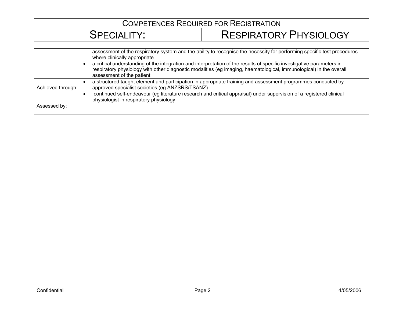|                   | assessment of the respiratory system and the ability to recognise the necessity for performing specific test procedures<br>where clinically appropriate<br>a critical understanding of the integration and interpretation of the results of specific investigative parameters in<br>respiratory physiology with other diagnostic modalities (eg imaging, haematological, immunological) in the overall<br>assessment of the patient |
|-------------------|-------------------------------------------------------------------------------------------------------------------------------------------------------------------------------------------------------------------------------------------------------------------------------------------------------------------------------------------------------------------------------------------------------------------------------------|
| Achieved through: | a structured taught element and participation in appropriate training and assessment programmes conducted by<br>approved specialist societies (eg ANZSRS/TSANZ)                                                                                                                                                                                                                                                                     |
|                   | continued self-endeavour (eg literature research and critical appraisal) under supervision of a registered clinical<br>physiologist in respiratory physiology                                                                                                                                                                                                                                                                       |
| Assessed by:      |                                                                                                                                                                                                                                                                                                                                                                                                                                     |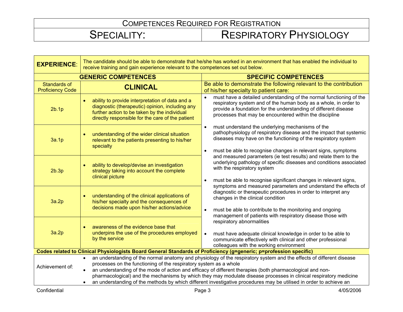| <b>EXPERIENCE:</b>                                                                                                | The candidate should be able to demonstrate that he/she has worked in an environment that has enabled the individual to<br>receive training and gain experience relevant to the competences set out below.                                                                                                                                                                                                                                                                                                                                                                  |                                                                                                                                                                                                                                                                                 |
|-------------------------------------------------------------------------------------------------------------------|-----------------------------------------------------------------------------------------------------------------------------------------------------------------------------------------------------------------------------------------------------------------------------------------------------------------------------------------------------------------------------------------------------------------------------------------------------------------------------------------------------------------------------------------------------------------------------|---------------------------------------------------------------------------------------------------------------------------------------------------------------------------------------------------------------------------------------------------------------------------------|
| <b>GENERIC COMPETENCES</b>                                                                                        |                                                                                                                                                                                                                                                                                                                                                                                                                                                                                                                                                                             | <b>SPECIFIC COMPETENCES</b>                                                                                                                                                                                                                                                     |
| <b>Standards of</b><br><b>Proficiency Code</b>                                                                    | <b>CLINICAL</b>                                                                                                                                                                                                                                                                                                                                                                                                                                                                                                                                                             | Be able to demonstrate the following relevant to the contribution<br>of his/her specialty to patient care:                                                                                                                                                                      |
| 2b.1p                                                                                                             | ability to provide interpretation of data and a<br>diagnostic (therapeutic) opinion, including any<br>further action to be taken by the individual<br>directly responsible for the care of the patient                                                                                                                                                                                                                                                                                                                                                                      | must have a detailed understanding of the normal functioning of the<br>respiratory system and of the human body as a whole, in order to<br>provide a foundation for the understanding of different disease<br>processes that may be encountered within the discipline           |
| 3a.1p                                                                                                             | understanding of the wider clinical situation<br>relevant to the patients presenting to his/her<br>specialty                                                                                                                                                                                                                                                                                                                                                                                                                                                                | must understand the underlying mechanisms of the<br>$\bullet$<br>pathophysiology of respiratory disease and the impact that systemic<br>diseases may have on the functioning of the respiratory system<br>must be able to recognise changes in relevant signs, symptoms         |
| 2b.3p                                                                                                             | ability to develop/devise an investigation<br>strategy taking into account the complete<br>clinical picture                                                                                                                                                                                                                                                                                                                                                                                                                                                                 | and measured parameters (ie test results) and relate them to the<br>underlying pathology of specific diseases and conditions associated<br>with the respiratory system<br>must be able to recognise significant changes in relevant signs,                                      |
| 3a.2p                                                                                                             | understanding of the clinical applications of<br>his/her specialty and the consequences of<br>decisions made upon his/her actions/advice                                                                                                                                                                                                                                                                                                                                                                                                                                    | symptoms and measured parameters and understand the effects of<br>diagnostic or therapeutic procedures in order to interpret any<br>changes in the clinical condition<br>must be able to contribute to the monitoring and ongoing                                               |
| 3a.2p                                                                                                             | awareness of the evidence base that<br>underpins the use of the procedures employed<br>by the service                                                                                                                                                                                                                                                                                                                                                                                                                                                                       | management of patients with respiratory disease those with<br>respiratory abnormalities<br>must have adequate clinical knowledge in order to be able to<br>$\bullet$<br>communicate effectively with clinical and other professional<br>colleagues with the working environment |
| Codes related to Clinical Physiologists Board General Standards of Proficiency (g=generic; p=profession specific) |                                                                                                                                                                                                                                                                                                                                                                                                                                                                                                                                                                             |                                                                                                                                                                                                                                                                                 |
| Achievement of:                                                                                                   | an understanding of the normal anatomy and physiology of the respiratory system and the effects of different disease<br>$\bullet$<br>processes on the functioning of the respiratory system as a whole<br>an understanding of the mode of action and efficacy of different therapies (both pharmacological and non-<br>$\bullet$<br>pharmacological) and the mechanisms by which they may modulate disease processes in clinical respiratory medicine<br>an understanding of the methods by which different investigative procedures may be utilised in order to achieve an |                                                                                                                                                                                                                                                                                 |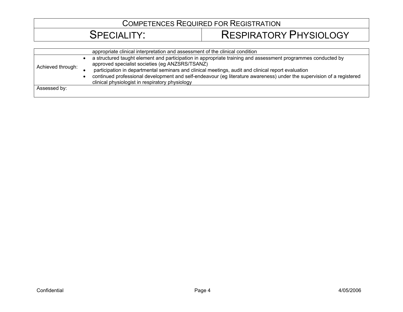|                   | appropriate clinical interpretation and assessment of the clinical condition                                                                                                                                                                                                                                                                                                                                                                      |
|-------------------|---------------------------------------------------------------------------------------------------------------------------------------------------------------------------------------------------------------------------------------------------------------------------------------------------------------------------------------------------------------------------------------------------------------------------------------------------|
| Achieved through: | a structured taught element and participation in appropriate training and assessment programmes conducted by<br>approved specialist societies (eg ANZSRS/TSANZ)<br>participation in departmental seminars and clinical meetings, audit and clinical report evaluation<br>continued professional development and self-endeavour (eg literature awareness) under the supervision of a registered<br>clinical physiologist in respiratory physiology |
| Assessed by:      |                                                                                                                                                                                                                                                                                                                                                                                                                                                   |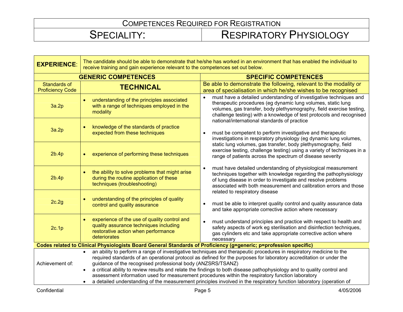| <b>EXPERIENCE:</b>                                                                                                | The candidate should be able to demonstrate that he/she has worked in an environment that has enabled the individual to<br>receive training and gain experience relevant to the competences set out below.                                                                                                                                                                                                                                                     |                                                                                                                                                                                                                                                                                     |
|-------------------------------------------------------------------------------------------------------------------|----------------------------------------------------------------------------------------------------------------------------------------------------------------------------------------------------------------------------------------------------------------------------------------------------------------------------------------------------------------------------------------------------------------------------------------------------------------|-------------------------------------------------------------------------------------------------------------------------------------------------------------------------------------------------------------------------------------------------------------------------------------|
| <b>GENERIC COMPETENCES</b>                                                                                        |                                                                                                                                                                                                                                                                                                                                                                                                                                                                | <b>SPECIFIC COMPETENCES</b>                                                                                                                                                                                                                                                         |
| <b>Standards of</b><br><b>Proficiency Code</b>                                                                    | <b>TECHNICAL</b>                                                                                                                                                                                                                                                                                                                                                                                                                                               | Be able to demonstrate the following, relevant to the modality or<br>area of specialisation in which he/she wishes to be recognised                                                                                                                                                 |
| 3a.2p                                                                                                             | understanding of the principles associated<br>with a range of techniques employed in the<br>modality                                                                                                                                                                                                                                                                                                                                                           | must have a detailed understanding of investigative techniques and<br>therapeutic procedures (eg dynamic lung volumes, static lung<br>volumes, gas transfer, body plethysmography, field exercise testing,<br>challenge testing) with a knowledge of test protocols and recognised  |
| 3a.2p                                                                                                             | knowledge of the standards of practice<br>expected from these techniques                                                                                                                                                                                                                                                                                                                                                                                       | national/international standards of practice<br>must be competent to perform investigative and therapeutic<br>$\bullet$<br>investigations in respiratory physiology (eg dynamic lung volumes,                                                                                       |
| 2b.4p                                                                                                             | experience of performing these techniques                                                                                                                                                                                                                                                                                                                                                                                                                      | static lung volumes, gas transfer, body plethysmography, field<br>exercise testing, challenge testing) using a variety of techniques in a<br>range of patients across the spectrum of disease severity                                                                              |
| 2b.4p                                                                                                             | the ability to solve problems that might arise<br>during the routine application of these<br>techniques (troubleshooting)                                                                                                                                                                                                                                                                                                                                      | must have detailed understanding of physiological measurement<br>$\bullet$<br>techniques together with knowledge regarding the pathophysiology<br>of lung disease in order to investigate and resolve problems<br>associated with both measurement and calibration errors and those |
| 2c.2g                                                                                                             | understanding of the principles of quality<br>control and quality assurance                                                                                                                                                                                                                                                                                                                                                                                    | related to respiratory disease<br>must be able to interpret quality control and quality assurance data<br>and take appropriate corrective action where necessary                                                                                                                    |
| 2c.1p                                                                                                             | experience of the use of quality control and<br>quality assurance techniques including<br>restorative action when performance<br>deteriorates                                                                                                                                                                                                                                                                                                                  | must understand principles and practice with respect to health and<br>$\bullet$<br>safety aspects of work eg sterilisation and disinfection techniques,<br>gas cylinders etc and take appropriate corrective action where<br>necessary                                              |
| Codes related to Clinical Physiologists Board General Standards of Proficiency (g=generic; p=profession specific) |                                                                                                                                                                                                                                                                                                                                                                                                                                                                |                                                                                                                                                                                                                                                                                     |
| Achievement of:                                                                                                   | an ability to perform a range of investigative techniques and therapeutic procedures in respiratory medicine to the<br>$\bullet$<br>required standards of an operational protocol as defined for the purposes for laboratory accreditation or under the<br>guidance of the recognised professional body (ANZSRS/TSANZ)<br>a critical ability to review results and relate the findings to both disease pathophysiology and to quality control and<br>$\bullet$ |                                                                                                                                                                                                                                                                                     |
|                                                                                                                   | assessment information used for measurement procedures within the respiratory function laboratory<br>a detailed understanding of the measurement principles involved in the respiratory function laboratory (operation of                                                                                                                                                                                                                                      |                                                                                                                                                                                                                                                                                     |
|                                                                                                                   |                                                                                                                                                                                                                                                                                                                                                                                                                                                                |                                                                                                                                                                                                                                                                                     |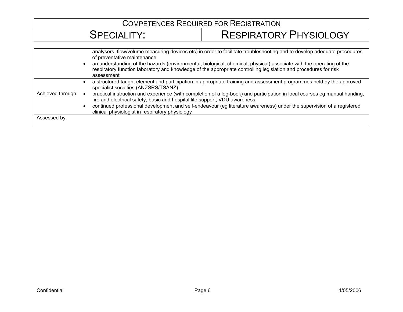|                   | analysers, flow/volume measuring devices etc) in order to facilitate troubleshooting and to develop adequate procedures<br>of preventative maintenance<br>an understanding of the hazards (environmental, biological, chemical, physical) associate with the operating of the<br>respiratory function laboratory and knowledge of the appropriate controlling legislation and procedures for risk<br>assessment |
|-------------------|-----------------------------------------------------------------------------------------------------------------------------------------------------------------------------------------------------------------------------------------------------------------------------------------------------------------------------------------------------------------------------------------------------------------|
|                   | a structured taught element and participation in appropriate training and assessment programmes held by the approved<br>specialist societies (ANZSRS/TSANZ)                                                                                                                                                                                                                                                     |
| Achieved through: | practical instruction and experience (with completion of a log-book) and participation in local courses eg manual handing,<br>fire and electrical safety, basic and hospital life support, VDU awareness<br>continued professional development and self-endeavour (eg literature awareness) under the supervision of a registered<br>clinical physiologist in respiratory physiology                            |
| Assessed by:      |                                                                                                                                                                                                                                                                                                                                                                                                                 |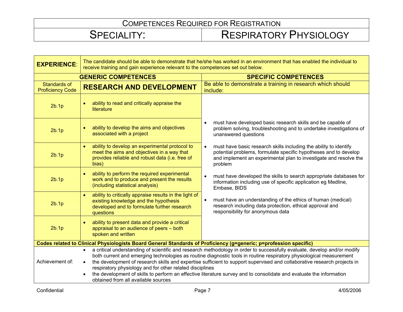| <b>EXPERIENCE:</b>                                                                                                | The candidate should be able to demonstrate that he/she has worked in an environment that has enabled the individual to<br>receive training and gain experience relevant to the competences set out below.                                                                                                                                                                                                                                                                                                                                                                                                         |                                                                                                                                                                                                                                    |
|-------------------------------------------------------------------------------------------------------------------|--------------------------------------------------------------------------------------------------------------------------------------------------------------------------------------------------------------------------------------------------------------------------------------------------------------------------------------------------------------------------------------------------------------------------------------------------------------------------------------------------------------------------------------------------------------------------------------------------------------------|------------------------------------------------------------------------------------------------------------------------------------------------------------------------------------------------------------------------------------|
| <b>GENERIC COMPETENCES</b>                                                                                        |                                                                                                                                                                                                                                                                                                                                                                                                                                                                                                                                                                                                                    | <b>SPECIFIC COMPETENCES</b>                                                                                                                                                                                                        |
| <b>Standards of</b><br><b>Proficiency Code</b>                                                                    | <b>RESEARCH AND DEVELOPMENT</b>                                                                                                                                                                                                                                                                                                                                                                                                                                                                                                                                                                                    | Be able to demonstrate a training in research which should<br>include:                                                                                                                                                             |
| 2b.1p                                                                                                             | ability to read and critically appraise the<br>literature                                                                                                                                                                                                                                                                                                                                                                                                                                                                                                                                                          |                                                                                                                                                                                                                                    |
| 2b.1p                                                                                                             | ability to develop the aims and objectives<br>associated with a project                                                                                                                                                                                                                                                                                                                                                                                                                                                                                                                                            | must have developed basic research skills and be capable of<br>$\bullet$<br>problem solving, troubleshooting and to undertake investigations of<br>unanswered questions                                                            |
| 2b.1p                                                                                                             | ability to develop an experimental protocol to<br>$\bullet$<br>meet the aims and objectives in a way that<br>provides reliable and robust data (i.e. free of<br>bias)                                                                                                                                                                                                                                                                                                                                                                                                                                              | must have basic research skills including the ability to identify<br>$\bullet$<br>potential problems, formulate specific hypotheses and to develop<br>and implement an experimental plan to investigate and resolve the<br>problem |
| 2b.1p                                                                                                             | ability to perform the required experimental<br>work and to produce and present the results<br>(including statistical analysis)                                                                                                                                                                                                                                                                                                                                                                                                                                                                                    | must have developed the skills to search appropriate databases for<br>$\bullet$<br>information including use of specific application eg Medline,<br>Embase, BIDS                                                                   |
| 2b.1p                                                                                                             | ability to critically appraise results in the light of<br>$\bullet$<br>existing knowledge and the hypothesis<br>developed and to formulate further research<br>questions                                                                                                                                                                                                                                                                                                                                                                                                                                           | must have an understanding of the ethics of human (medical)<br>$\bullet$<br>research including data protection, ethical approval and<br>responsibility for anonymous data                                                          |
| 2b.1p                                                                                                             | ability to present data and provide a critical<br>appraisal to an audience of peers - both<br>spoken and written                                                                                                                                                                                                                                                                                                                                                                                                                                                                                                   |                                                                                                                                                                                                                                    |
| Codes related to Clinical Physiologists Board General Standards of Proficiency (g=generic; p=profession specific) |                                                                                                                                                                                                                                                                                                                                                                                                                                                                                                                                                                                                                    |                                                                                                                                                                                                                                    |
| Achievement of:                                                                                                   | a critical understanding of scientific and research methodology in order to successfully evaluate, develop and/or modify<br>$\bullet$<br>both current and emerging technologies as routine diagnostic tools in routine respiratory physiological measurement<br>the development of research skills and expertise sufficient to support supervised and collaborative research projects in<br>respiratory physiology and for other related disciplines<br>the development of skills to perform an effective literature survey and to consolidate and evaluate the information<br>obtained from all available sources |                                                                                                                                                                                                                                    |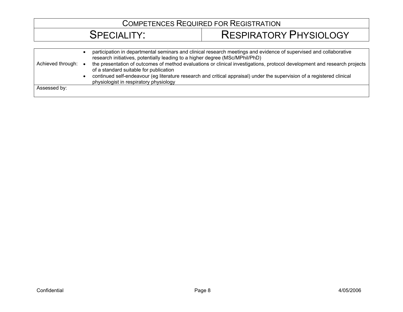| Achieved through: | participation in departmental seminars and clinical research meetings and evidence of supervised and collaborative<br>research initiatives, potentially leading to a higher degree (MSc/MPhil/PhD)<br>the presentation of outcomes of method evaluations or clinical investigations, protocol development and research projects<br>of a standard suitable for publication<br>continued self-endeavour (eg literature research and critical appraisal) under the supervision of a registered clinical<br>physiologist in respiratory physiology |
|-------------------|------------------------------------------------------------------------------------------------------------------------------------------------------------------------------------------------------------------------------------------------------------------------------------------------------------------------------------------------------------------------------------------------------------------------------------------------------------------------------------------------------------------------------------------------|
| Assessed by:      |                                                                                                                                                                                                                                                                                                                                                                                                                                                                                                                                                |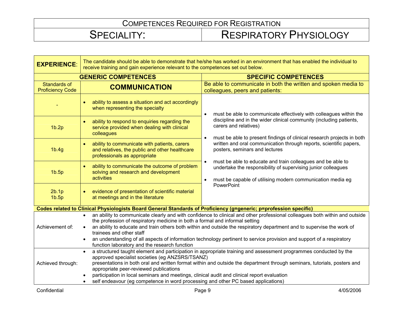| <b>EXPERIENCE:</b>                      | The candidate should be able to demonstrate that he/she has worked in an environment that has enabled the individual to<br>receive training and gain experience relevant to the competences set out below.                                                                                                                                                                                                                                                                                                                                               |                                                                                                                                                                                                                      |
|-----------------------------------------|----------------------------------------------------------------------------------------------------------------------------------------------------------------------------------------------------------------------------------------------------------------------------------------------------------------------------------------------------------------------------------------------------------------------------------------------------------------------------------------------------------------------------------------------------------|----------------------------------------------------------------------------------------------------------------------------------------------------------------------------------------------------------------------|
| <b>GENERIC COMPETENCES</b>              |                                                                                                                                                                                                                                                                                                                                                                                                                                                                                                                                                          | <b>SPECIFIC COMPETENCES</b>                                                                                                                                                                                          |
| Standards of<br><b>Proficiency Code</b> | <b>COMMUNICATION</b>                                                                                                                                                                                                                                                                                                                                                                                                                                                                                                                                     | Be able to communicate in both the written and spoken media to<br>colleagues, peers and patients:                                                                                                                    |
|                                         | ability to assess a situation and act accordingly<br>when representing the specialty                                                                                                                                                                                                                                                                                                                                                                                                                                                                     | must be able to communicate effectively with colleagues within the<br>$\bullet$                                                                                                                                      |
| 1b.2p                                   | ability to respond to enquiries regarding the<br>service provided when dealing with clinical<br>colleagues                                                                                                                                                                                                                                                                                                                                                                                                                                               | discipline and in the wider clinical community (including patients,<br>carers and relatives)<br>must be able to present findings of clinical research projects in both                                               |
| 1b.4g                                   | ability to communicate with patients, carers<br>and relatives, the public and other healthcare<br>professionals as appropriate                                                                                                                                                                                                                                                                                                                                                                                                                           | $\bullet$<br>written and oral communication through reports, scientific papers,<br>posters, seminars and lectures                                                                                                    |
| 1b.5p                                   | ability to communicate the outcome of problem<br>solving and research and development<br>activities                                                                                                                                                                                                                                                                                                                                                                                                                                                      | must be able to educate and train colleagues and be able to<br>$\bullet$<br>undertake the responsibility of supervising junior colleagues<br>must be capable of utilising modern communication media eg<br>$\bullet$ |
| 2b.1p<br>1 <sub>b.5p</sub>              | evidence of presentation of scientific material<br>at meetings and in the literature                                                                                                                                                                                                                                                                                                                                                                                                                                                                     | PowerPoint                                                                                                                                                                                                           |
|                                         | Codes related to Clinical Physiologists Board General Standards of Proficiency (g=generic; p=profession specific)                                                                                                                                                                                                                                                                                                                                                                                                                                        |                                                                                                                                                                                                                      |
| Achievement of:                         | an ability to communicate clearly and with confidence to clinical and other professional colleagues both within and outside<br>$\bullet$<br>the profession of respiratory medicine in both a formal and informal setting<br>an ability to educate and train others both within and outside the respiratory department and to supervise the work of<br>trainees and other staff<br>an understanding of all aspects of information technology pertinent to service provision and support of a respiratory<br>function laboratory and the research function |                                                                                                                                                                                                                      |
| Achieved through:                       | a structured taught element and participation in appropriate training and assessment programmes conducted by the<br>approved specialist societies (eg ANZSRS/TSANZ)<br>presentations in both oral and written format within and outside the department through seminars, tutorials, posters and<br>appropriate peer-reviewed publications<br>participation in local seminars and meetings, clinical audit and clinical report evaluation<br>self endeavour (eg competence in word processing and other PC based applications)                            |                                                                                                                                                                                                                      |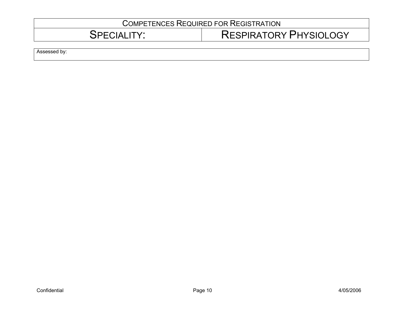# SPECIALITY: RESPIRATORY PHYSIOLOGY

Assessed by: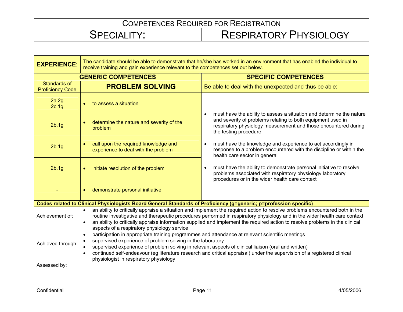| <b>EXPERIENCE:</b>                      | The candidate should be able to demonstrate that he/she has worked in an environment that has enabled the individual to<br>receive training and gain experience relevant to the competences set out below.                                                                                                                                                                                                                                           |                                                                                                                                                                                     |
|-----------------------------------------|------------------------------------------------------------------------------------------------------------------------------------------------------------------------------------------------------------------------------------------------------------------------------------------------------------------------------------------------------------------------------------------------------------------------------------------------------|-------------------------------------------------------------------------------------------------------------------------------------------------------------------------------------|
| <b>GENERIC COMPETENCES</b>              |                                                                                                                                                                                                                                                                                                                                                                                                                                                      | <b>SPECIFIC COMPETENCES</b>                                                                                                                                                         |
| Standards of<br><b>Proficiency Code</b> | <b>PROBLEM SOLVING</b>                                                                                                                                                                                                                                                                                                                                                                                                                               | Be able to deal with the unexpected and thus be able:                                                                                                                               |
| 2a.2g<br>2c.1g                          | to assess a situation                                                                                                                                                                                                                                                                                                                                                                                                                                | must have the ability to assess a situation and determine the nature                                                                                                                |
| 2b.1g                                   | determine the nature and severity of the<br>problem                                                                                                                                                                                                                                                                                                                                                                                                  | and severity of problems relating to both equipment used in<br>respiratory physiology measurement and those encountered during<br>the testing procedure                             |
| 2b.1g                                   | call upon the required knowledge and<br>experience to deal with the problem                                                                                                                                                                                                                                                                                                                                                                          | must have the knowledge and experience to act accordingly in<br>$\bullet$<br>response to a problem encountered with the discipline or within the<br>health care sector in general   |
| 2b.1g                                   | initiate resolution of the problem<br>$\bullet$                                                                                                                                                                                                                                                                                                                                                                                                      | must have the ability to demonstrate personal initiative to resolve<br>problems associated with respiratory physiology laboratory<br>procedures or in the wider health care context |
|                                         | demonstrate personal initiative                                                                                                                                                                                                                                                                                                                                                                                                                      |                                                                                                                                                                                     |
|                                         | Codes related to Clinical Physiologists Board General Standards of Proficiency (g=generic; p=profession specific)                                                                                                                                                                                                                                                                                                                                    |                                                                                                                                                                                     |
| Achievement of:                         | an ability to critically appraise a situation and implement the required action to resolve problems encountered both in the<br>routine investigative and therapeutic procedures performed in respiratory physiology and in the wider health care context<br>an ability to critically appraise information supplied and implement the required action to resolve problems in the clinical<br>$\bullet$<br>aspects of a respiratory physiology service |                                                                                                                                                                                     |
| Achieved through:<br>Assessed by:       | participation in appropriate training programmes and attendance at relevant scientific meetings<br>supervised experience of problem solving in the laboratory<br>supervised experience of problem solving in relevant aspects of clinical liaison (oral and written)<br>continued self-endeavour (eg literature research and critical appraisal) under the supervision of a registered clinical<br>physiologist in respiratory physiology            |                                                                                                                                                                                     |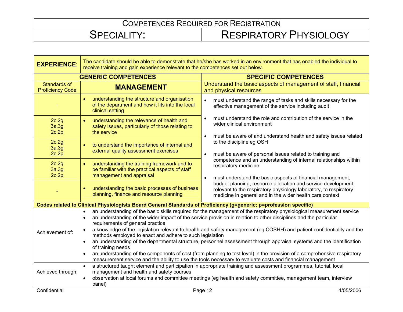| <b>EXPERIENCE:</b>                      | The candidate should be able to demonstrate that he/she has worked in an environment that has enabled the individual to<br>receive training and gain experience relevant to the competences set out below.                                                                                                                                                                                                                                                                                                                                                                                                                                                                                                                                                                                                                                                  |                                                                                                                                                                                               |  |
|-----------------------------------------|-------------------------------------------------------------------------------------------------------------------------------------------------------------------------------------------------------------------------------------------------------------------------------------------------------------------------------------------------------------------------------------------------------------------------------------------------------------------------------------------------------------------------------------------------------------------------------------------------------------------------------------------------------------------------------------------------------------------------------------------------------------------------------------------------------------------------------------------------------------|-----------------------------------------------------------------------------------------------------------------------------------------------------------------------------------------------|--|
| <b>GENERIC COMPETENCES</b>              |                                                                                                                                                                                                                                                                                                                                                                                                                                                                                                                                                                                                                                                                                                                                                                                                                                                             | <b>SPECIFIC COMPETENCES</b>                                                                                                                                                                   |  |
| Standards of<br><b>Proficiency Code</b> | <b>MANAGEMENT</b>                                                                                                                                                                                                                                                                                                                                                                                                                                                                                                                                                                                                                                                                                                                                                                                                                                           | Understand the basic aspects of management of staff, financial<br>and physical resources                                                                                                      |  |
|                                         | understanding the structure and organisation<br>of the department and how it fits into the local<br>clinical setting                                                                                                                                                                                                                                                                                                                                                                                                                                                                                                                                                                                                                                                                                                                                        | must understand the range of tasks and skills necessary for the<br>$\bullet$<br>effective management of the service including audit                                                           |  |
| 2c.2g<br>3a.3g<br>2c.2p                 | understanding the relevance of health and<br>safety issues, particularly of those relating to<br>the service                                                                                                                                                                                                                                                                                                                                                                                                                                                                                                                                                                                                                                                                                                                                                | must understand the role and contribution of the service in the<br>$\bullet$<br>wider clinical environment                                                                                    |  |
| 2c.2g<br>3a.3g<br>2c.2p                 | to understand the importance of internal and<br>external quality assessment exercises                                                                                                                                                                                                                                                                                                                                                                                                                                                                                                                                                                                                                                                                                                                                                                       | must be aware of and understand health and safety issues related<br>to the discipline eg OSH<br>must be aware of personal issues related to training and                                      |  |
| 2c.2g<br>3a.3g<br>2c.2p                 | understanding the training framework and to<br>be familiar with the practical aspects of staff<br>management and appraisal                                                                                                                                                                                                                                                                                                                                                                                                                                                                                                                                                                                                                                                                                                                                  | competence and an understanding of internal relationships within<br>respiratory medicine<br>must understand the basic aspects of financial management,<br>$\bullet$                           |  |
|                                         | understanding the basic processes of business<br>planning, finance and resource planning                                                                                                                                                                                                                                                                                                                                                                                                                                                                                                                                                                                                                                                                                                                                                                    | budget planning, resource allocation and service development<br>relevant to the respiratory physiology laboratory, to respiratory<br>medicine in general and in the wider health care context |  |
|                                         | Codes related to Clinical Physiologists Board General Standards of Proficiency (g=generic; p=profession specific)                                                                                                                                                                                                                                                                                                                                                                                                                                                                                                                                                                                                                                                                                                                                           |                                                                                                                                                                                               |  |
| Achievement of:                         | an understanding of the basic skills required for the management of the respiratory physiological measurement service<br>an understanding of the wider impact of the service provision in relation to other disciplines and the particular<br>requirements of general practice<br>a knowledge of the legislation relevant to health and safety management (eg COSHH) and patient confidentiality and the<br>methods employed to enact and adhere to such legislation<br>an understanding of the departmental structure, personnel assessment through appraisal systems and the identification<br>of training needs<br>an understanding of the components of cost (from planning to test level) in the provision of a comprehensive respiratory<br>measurement service and the ability to use the tools necessary to evaluate costs and financial management |                                                                                                                                                                                               |  |
| Achieved through:                       | a structured taught element and participation in appropriate training and assessment programmes, tutorial, local<br>$\bullet$<br>management and health and safety courses<br>observation at local forums and committee meetings (eg health and safety committee, management team, interview<br>panel)                                                                                                                                                                                                                                                                                                                                                                                                                                                                                                                                                       |                                                                                                                                                                                               |  |
| Confidential                            |                                                                                                                                                                                                                                                                                                                                                                                                                                                                                                                                                                                                                                                                                                                                                                                                                                                             | 4/05/2006<br>Page 12                                                                                                                                                                          |  |